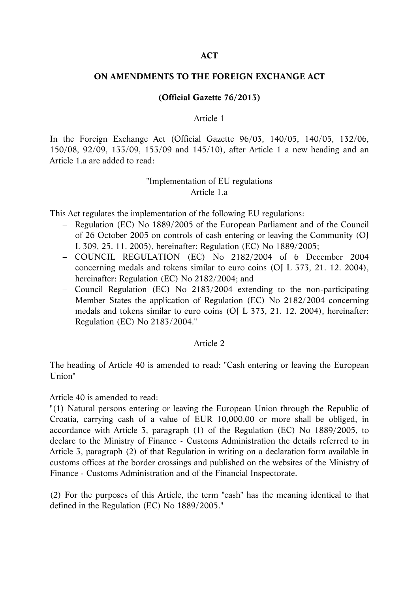### **ACT**

#### **ON AMENDMENTS TO THE FOREIGN EXCHANGE ACT**

## **(Official Gazette 76/2013)**

#### Article 1

In the Foreign Exchange Act (Official Gazette 96/03, 140/05, 140/05, 132/06, 150/08, 92/09, 133/09, 153/09 and 145/10), after Article 1 a new heading and an Article 1.a are added to read:

## "Implementation of EU regulations Article 1.a

This Act regulates the implementation of the following EU regulations:

- Regulation (EC) No 1889/2005 of the European Parliament and of the Council of 26 October 2005 on controls of cash entering or leaving the Community (OJ L 309, 25. 11. 2005), hereinafter: Regulation (EC) No 1889/2005;
- COUNCIL REGULATION (EC) No 2182/2004 of 6 December 2004 concerning medals and tokens similar to euro coins (OJ L 373, 21. 12. 2004), hereinafter: Regulation (EC) No 2182/2004; and
- Council Regulation (EC) No 2183/2004 extending to the non-participating Member States the application of Regulation (EC) No 2182/2004 concerning medals and tokens similar to euro coins (OJ L 373, 21. 12. 2004), hereinafter: Regulation (EC) No 2183/2004."

#### Article 2

The heading of Article 40 is amended to read: "Cash entering or leaving the European Union"

Article 40 is amended to read:

"(1) Natural persons entering or leaving the European Union through the Republic of Croatia, carrying cash of a value of EUR 10,000.00 or more shall be obliged, in accordance with Article 3, paragraph (1) of the Regulation (EC) No 1889/2005, to declare to the Ministry of Finance - Customs Administration the details referred to in Article 3, paragraph (2) of that Regulation in writing on a declaration form available in customs offices at the border crossings and published on the websites of the Ministry of Finance - Customs Administration and of the Financial Inspectorate.

(2) For the purposes of this Article, the term "cash" has the meaning identical to that defined in the Regulation (EC) No 1889/2005."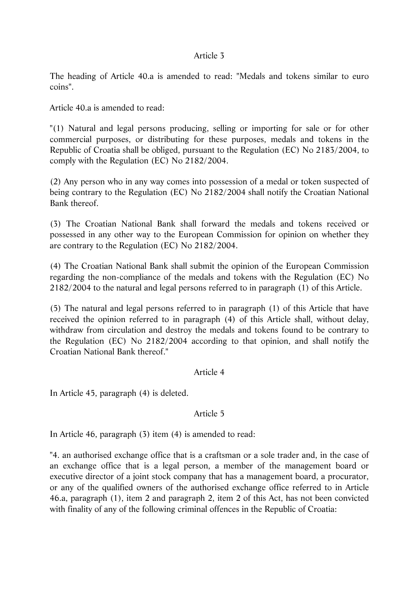#### Article 3

The heading of Article 40.a is amended to read: "Medals and tokens similar to euro coins".

Article 40.a is amended to read:

"(1) Natural and legal persons producing, selling or importing for sale or for other commercial purposes, or distributing for these purposes, medals and tokens in the Republic of Croatia shall be obliged, pursuant to the Regulation (EC) No 2183/2004, to comply with the Regulation (EC) No 2182/2004.

(2) Any person who in any way comes into possession of a medal or token suspected of being contrary to the Regulation (EC) No 2182/2004 shall notify the Croatian National Bank thereof.

(3) The Croatian National Bank shall forward the medals and tokens received or possessed in any other way to the European Commission for opinion on whether they are contrary to the Regulation (EC) No 2182/2004.

(4) The Croatian National Bank shall submit the opinion of the European Commission regarding the non-compliance of the medals and tokens with the Regulation (EC) No 2182/2004 to the natural and legal persons referred to in paragraph (1) of this Article.

(5) The natural and legal persons referred to in paragraph (1) of this Article that have received the opinion referred to in paragraph (4) of this Article shall, without delay, withdraw from circulation and destroy the medals and tokens found to be contrary to the Regulation (EC) No 2182/2004 according to that opinion, and shall notify the Croatian National Bank thereof."

#### Article 4

In Article 45, paragraph (4) is deleted.

### Article 5

In Article 46, paragraph (3) item (4) is amended to read:

"4. an authorised exchange office that is a craftsman or a sole trader and, in the case of an exchange office that is a legal person, a member of the management board or executive director of a joint stock company that has a management board, a procurator, or any of the qualified owners of the authorised exchange office referred to in Article 46.a, paragraph (1), item 2 and paragraph 2, item 2 of this Act, has not been convicted with finality of any of the following criminal offences in the Republic of Croatia: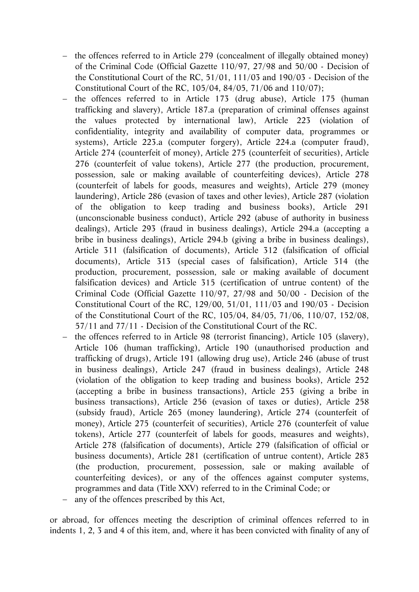- the offences referred to in Article 279 (concealment of illegally obtained money) of the Criminal Code (Official Gazette 110/97, 27/98 and 50/00 - Decision of the Constitutional Court of the RC, 51/01, 111/03 and 190/03 - Decision of the Constitutional Court of the RC, 105/04, 84/05, 71/06 and 110/07);
- the offences referred to in Article 173 (drug abuse), Article 175 (human trafficking and slavery), Article 187.a (preparation of criminal offenses against the values protected by international law), Article 223 (violation of confidentiality, integrity and availability of computer data, programmes or systems), Article 223.a (computer forgery), Article 224.a (computer fraud), Article 274 (counterfeit of money), Article 275 (counterfeit of securities), Article 276 (counterfeit of value tokens), Article 277 (the production, procurement, possession, sale or making available of counterfeiting devices), Article 278 (counterfeit of labels for goods, measures and weights), Article 279 (money laundering), Article 286 (evasion of taxes and other levies), Article 287 (violation of the obligation to keep trading and business books), Article 291 (unconscionable business conduct), Article 292 (abuse of authority in business dealings), Article 293 (fraud in business dealings), Article 294.a (accepting a bribe in business dealings), Article 294.b (giving a bribe in business dealings), Article 311 (falsification of documents), Article 312 (falsification of official documents), Article 313 (special cases of falsification), Article 314 (the production, procurement, possession, sale or making available of document falsification devices) and Article 315 (certification of untrue content) of the Criminal Code (Official Gazette 110/97, 27/98 and 50/00 - Decision of the Constitutional Court of the RC, 129/00, 51/01, 111/03 and 190/03 - Decision of the Constitutional Court of the RC, 105/04, 84/05, 71/06, 110/07, 152/08, 57/11 and 77/11 - Decision of the Constitutional Court of the RC.
- the offences referred to in Article 98 (terrorist financing), Article 105 (slavery), Article 106 (human trafficking), Article 190 (unauthorised production and trafficking of drugs), Article 191 (allowing drug use), Article 246 (abuse of trust in business dealings), Article 247 (fraud in business dealings), Article 248 (violation of the obligation to keep trading and business books), Article 252 (accepting a bribe in business transactions), Article 253 (giving a bribe in business transactions), Article 256 (evasion of taxes or duties), Article 258 (subsidy fraud), Article 265 (money laundering), Article 274 (counterfeit of money), Article 275 (counterfeit of securities), Article 276 (counterfeit of value tokens), Article 277 (counterfeit of labels for goods, measures and weights), Article 278 (falsification of documents), Article 279 (falsification of official or business documents), Article 281 (certification of untrue content), Article 283 (the production, procurement, possession, sale or making available of counterfeiting devices), or any of the offences against computer systems, programmes and data (Title XXV) referred to in the Criminal Code; or
- any of the offences prescribed by this Act,

or abroad, for offences meeting the description of criminal offences referred to in indents 1, 2, 3 and 4 of this item, and, where it has been convicted with finality of any of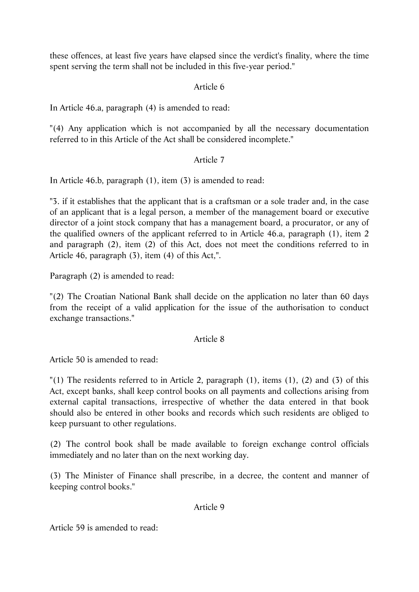these offences, at least five years have elapsed since the verdict's finality, where the time spent serving the term shall not be included in this five-year period."

# Article 6

In Article 46.a, paragraph (4) is amended to read:

"(4) Any application which is not accompanied by all the necessary documentation referred to in this Article of the Act shall be considered incomplete."

# Article 7

In Article 46.b, paragraph (1), item (3) is amended to read:

"3. if it establishes that the applicant that is a craftsman or a sole trader and, in the case of an applicant that is a legal person, a member of the management board or executive director of a joint stock company that has a management board, a procurator, or any of the qualified owners of the applicant referred to in Article 46.a, paragraph (1), item 2 and paragraph (2), item (2) of this Act, does not meet the conditions referred to in Article 46, paragraph (3), item (4) of this Act,".

Paragraph (2) is amended to read:

"(2) The Croatian National Bank shall decide on the application no later than 60 days from the receipt of a valid application for the issue of the authorisation to conduct exchange transactions."

#### Article 8

Article 50 is amended to read:

"(1) The residents referred to in Article 2, paragraph (1), items (1), (2) and (3) of this Act, except banks, shall keep control books on all payments and collections arising from external capital transactions, irrespective of whether the data entered in that book should also be entered in other books and records which such residents are obliged to keep pursuant to other regulations.

(2) The control book shall be made available to foreign exchange control officials immediately and no later than on the next working day.

(3) The Minister of Finance shall prescribe, in a decree, the content and manner of keeping control books."

## Article 9

Article 59 is amended to read: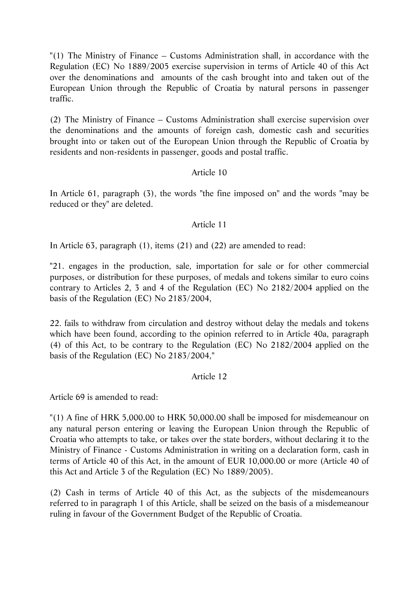"(1) The Ministry of Finance – Customs Administration shall, in accordance with the Regulation (EC) No 1889/2005 exercise supervision in terms of Article 40 of this Act over the denominations and amounts of the cash brought into and taken out of the European Union through the Republic of Croatia by natural persons in passenger traffic.

(2) The Ministry of Finance – Customs Administration shall exercise supervision over the denominations and the amounts of foreign cash, domestic cash and securities brought into or taken out of the European Union through the Republic of Croatia by residents and non-residents in passenger, goods and postal traffic.

# Article 10

In Article 61, paragraph (3), the words "the fine imposed on" and the words "may be reduced or they" are deleted.

# Article 11

In Article 63, paragraph (1), items (21) and (22) are amended to read:

"21. engages in the production, sale, importation for sale or for other commercial purposes, or distribution for these purposes, of medals and tokens similar to euro coins contrary to Articles 2, 3 and 4 of the Regulation (EC) No 2182/2004 applied on the basis of the Regulation (EC) No 2183/2004,

22. fails to withdraw from circulation and destroy without delay the medals and tokens which have been found, according to the opinion referred to in Article 40a, paragraph (4) of this Act, to be contrary to the Regulation (EC) No 2182/2004 applied on the basis of the Regulation (EC) No 2183/2004,"

# Article 12

Article 69 is amended to read:

"(1) A fine of HRK 5,000.00 to HRK 50,000.00 shall be imposed for misdemeanour on any natural person entering or leaving the European Union through the Republic of Croatia who attempts to take, or takes over the state borders, without declaring it to the Ministry of Finance - Customs Administration in writing on a declaration form, cash in terms of Article 40 of this Act, in the amount of EUR 10,000.00 or more (Article 40 of this Act and Article 3 of the Regulation (EC) No 1889/2005).

(2) Cash in terms of Article 40 of this Act, as the subjects of the misdemeanours referred to in paragraph 1 of this Article, shall be seized on the basis of a misdemeanour ruling in favour of the Government Budget of the Republic of Croatia.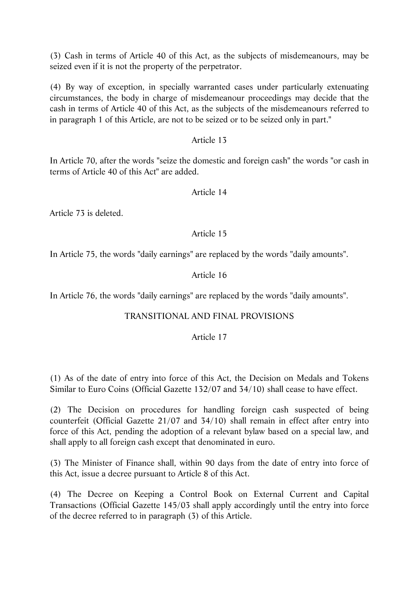(3) Cash in terms of Article 40 of this Act, as the subjects of misdemeanours, may be seized even if it is not the property of the perpetrator.

(4) By way of exception, in specially warranted cases under particularly extenuating circumstances, the body in charge of misdemeanour proceedings may decide that the cash in terms of Article 40 of this Act, as the subjects of the misdemeanours referred to in paragraph 1 of this Article, are not to be seized or to be seized only in part."

## Article 13

In Article 70, after the words "seize the domestic and foreign cash" the words "or cash in terms of Article 40 of this Act" are added.

## Article 14

Article 73 is deleted.

## Article 15

In Article 75, the words "daily earnings" are replaced by the words "daily amounts".

## Article 16

In Article 76, the words "daily earnings" are replaced by the words "daily amounts".

# TRANSITIONAL AND FINAL PROVISIONS

#### Article 17

(1) As of the date of entry into force of this Act, the Decision on Medals and Tokens Similar to Euro Coins (Official Gazette 132/07 and 34/10) shall cease to have effect.

(2) The Decision on procedures for handling foreign cash suspected of being counterfeit (Official Gazette 21/07 and 34/10) shall remain in effect after entry into force of this Act, pending the adoption of a relevant bylaw based on a special law, and shall apply to all foreign cash except that denominated in euro.

(3) The Minister of Finance shall, within 90 days from the date of entry into force of this Act, issue a decree pursuant to Article 8 of this Act.

(4) The Decree on Keeping a Control Book on External Current and Capital Transactions (Official Gazette 145/03 shall apply accordingly until the entry into force of the decree referred to in paragraph (3) of this Article.